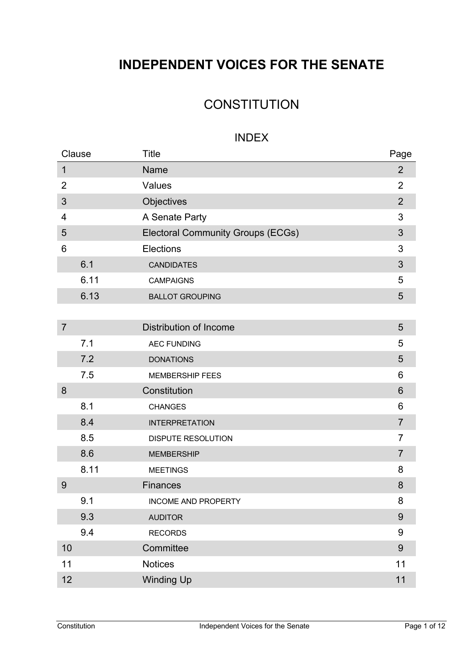## **INDEPENDENT VOICES FOR THE SENATE**

### **CONSTITUTION**

#### INDEX

| Clause         |      | <b>Title</b>                             | Page           |
|----------------|------|------------------------------------------|----------------|
| $\mathbf{1}$   |      | <b>Name</b>                              | $\overline{2}$ |
| $\overline{2}$ |      | Values                                   | $\overline{2}$ |
| 3              |      | Objectives                               | $\overline{2}$ |
| 4              |      | A Senate Party                           | 3              |
| 5              |      | <b>Electoral Community Groups (ECGs)</b> | 3              |
| 6              |      | Elections                                | 3              |
|                | 6.1  | <b>CANDIDATES</b>                        | 3              |
|                | 6.11 | <b>CAMPAIGNS</b>                         | 5              |
|                | 6.13 | <b>BALLOT GROUPING</b>                   | 5              |
|                |      |                                          |                |
| $\overline{7}$ |      | <b>Distribution of Income</b>            | 5              |
|                | 7.1  | <b>AEC FUNDING</b>                       | 5              |
|                | 7.2  | <b>DONATIONS</b>                         | 5              |
|                | 7.5  | <b>MEMBERSHIP FEES</b>                   | 6              |
| 8              |      | Constitution                             | 6              |
|                | 8.1  | <b>CHANGES</b>                           | 6              |
|                | 8.4  | <b>INTERPRETATION</b>                    | $\overline{7}$ |
|                | 8.5  | <b>DISPUTE RESOLUTION</b>                | $\overline{7}$ |
|                | 8.6  | <b>MEMBERSHIP</b>                        | $\overline{7}$ |
|                | 8.11 | <b>MEETINGS</b>                          | 8              |
| 9              |      | <b>Finances</b>                          | 8              |
|                | 9.1  | <b>INCOME AND PROPERTY</b>               | 8              |
|                | 9.3  | <b>AUDITOR</b>                           | 9              |
|                | 9.4  | <b>RECORDS</b>                           | 9              |
| 10             |      | Committee                                | $\overline{9}$ |
| 11             |      | <b>Notices</b>                           | 11             |
| 12             |      | <b>Winding Up</b>                        | 11             |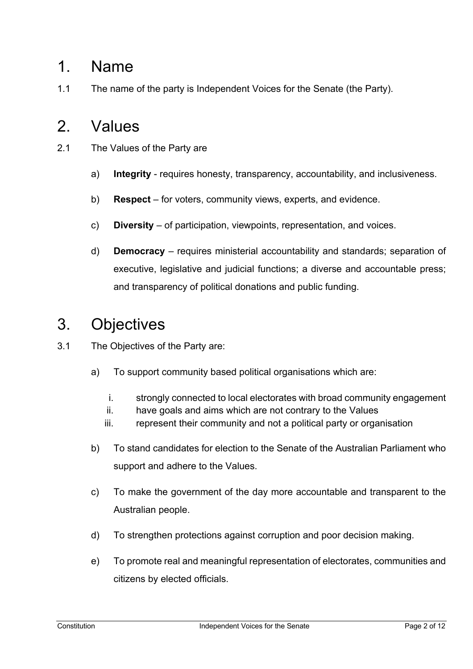## 1. Name

1.1 The name of the party is Independent Voices for the Senate (the Party).

# 2. Values

- 2.1 The Values of the Party are
	- a) **Integrity** requires honesty, transparency, accountability, and inclusiveness.
	- b) **Respect** for voters, community views, experts, and evidence.
	- c) **Diversity** of participation, viewpoints, representation, and voices.
	- d) **Democracy** requires ministerial accountability and standards; separation of executive, legislative and judicial functions; a diverse and accountable press; and transparency of political donations and public funding.

## 3. Objectives

- 3.1 The Objectives of the Party are:
	- a) To support community based political organisations which are:
		- i. strongly connected to local electorates with broad community engagement
		- ii. have goals and aims which are not contrary to the Values
		- iii. represent their community and not a political party or organisation
	- b) To stand candidates for election to the Senate of the Australian Parliament who support and adhere to the Values.
	- c) To make the government of the day more accountable and transparent to the Australian people.
	- d) To strengthen protections against corruption and poor decision making.
	- e) To promote real and meaningful representation of electorates, communities and citizens by elected officials.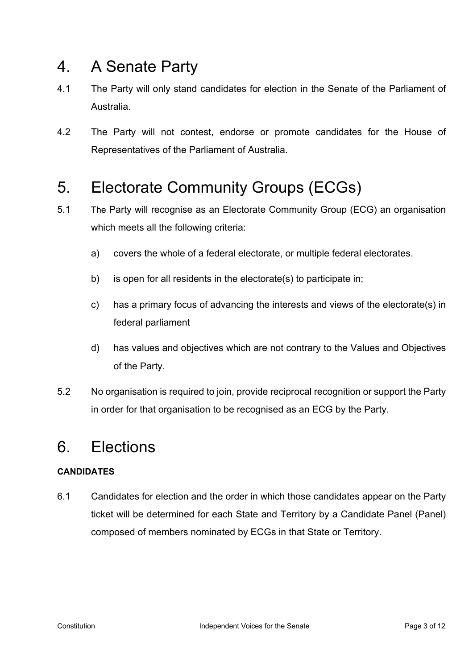# 4. A Senate Party

- 4.1 The Party will only stand candidates for election in the Senate of the Parliament of Australia.
- 4.2 The Party will not contest, endorse or promote candidates for the House of Representatives of the Parliament of Australia.

# 5. Electorate Community Groups (ECGs)

- 5.1 The Party will recognise as an Electorate Community Group (ECG) an organisation which meets all the following criteria:
	- a) covers the whole of a federal electorate, or multiple federal electorates.
	- b) is open for all residents in the electorate(s) to participate in;
	- c) has a primary focus of advancing the interests and views of the electorate(s) in federal parliament
	- d) has values and objectives which are not contrary to the Values and Objectives of the Party.
- 5.2 No organisation is required to join, provide reciprocal recognition or support the Party in order for that organisation to be recognised as an ECG by the Party.

## 6. Elections

#### **CANDIDATES**

6.1 Candidates for election and the order in which those candidates appear on the Party ticket will be determined for each State and Territory by a Candidate Panel (Panel) composed of members nominated by ECGs in that State or Territory.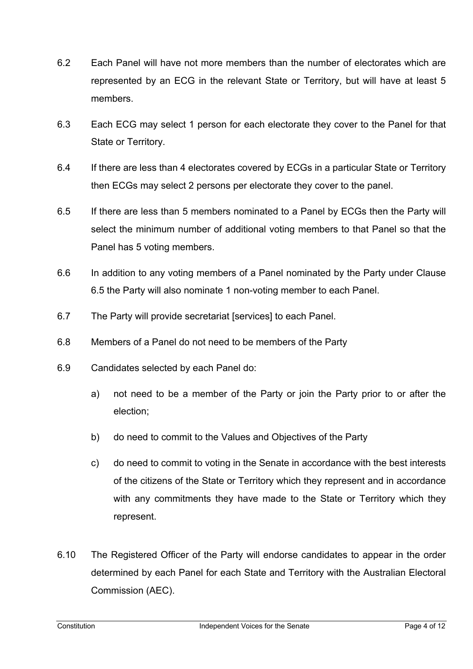- 6.2 Each Panel will have not more members than the number of electorates which are represented by an ECG in the relevant State or Territory, but will have at least 5 members.
- 6.3 Each ECG may select 1 person for each electorate they cover to the Panel for that State or Territory.
- 6.4 If there are less than 4 electorates covered by ECGs in a particular State or Territory then ECGs may select 2 persons per electorate they cover to the panel.
- 6.5 If there are less than 5 members nominated to a Panel by ECGs then the Party will select the minimum number of additional voting members to that Panel so that the Panel has 5 voting members.
- 6.6 In addition to any voting members of a Panel nominated by the Party under Clause 6.5 the Party will also nominate 1 non-voting member to each Panel.
- 6.7 The Party will provide secretariat [services] to each Panel.
- 6.8 Members of a Panel do not need to be members of the Party
- 6.9 Candidates selected by each Panel do:
	- a) not need to be a member of the Party or join the Party prior to or after the election;
	- b) do need to commit to the Values and Objectives of the Party
	- c) do need to commit to voting in the Senate in accordance with the best interests of the citizens of the State or Territory which they represent and in accordance with any commitments they have made to the State or Territory which they represent.
- 6.10 The Registered Officer of the Party will endorse candidates to appear in the order determined by each Panel for each State and Territory with the Australian Electoral Commission (AEC).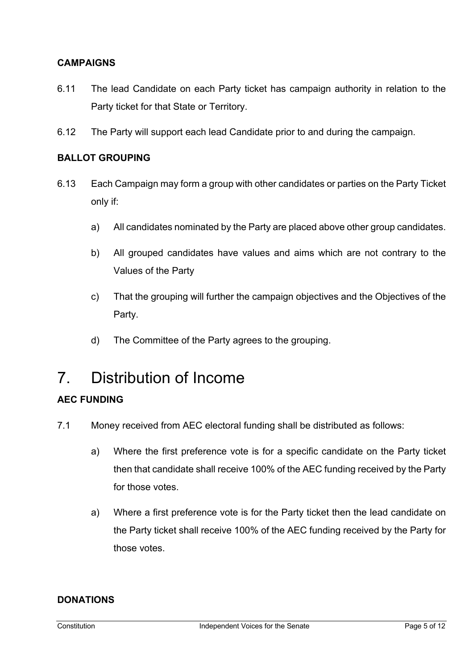#### **CAMPAIGNS**

- 6.11 The lead Candidate on each Party ticket has campaign authority in relation to the Party ticket for that State or Territory.
- 6.12 The Party will support each lead Candidate prior to and during the campaign.

#### **BALLOT GROUPING**

- 6.13 Each Campaign may form a group with other candidates or parties on the Party Ticket only if:
	- a) All candidates nominated by the Party are placed above other group candidates.
	- b) All grouped candidates have values and aims which are not contrary to the Values of the Party
	- c) That the grouping will further the campaign objectives and the Objectives of the Party.
	- d) The Committee of the Party agrees to the grouping.

# 7. Distribution of Income

#### **AEC FUNDING**

- 7.1 Money received from AEC electoral funding shall be distributed as follows:
	- a) Where the first preference vote is for a specific candidate on the Party ticket then that candidate shall receive 100% of the AEC funding received by the Party for those votes.
	- a) Where a first preference vote is for the Party ticket then the lead candidate on the Party ticket shall receive 100% of the AEC funding received by the Party for those votes.

#### **DONATIONS**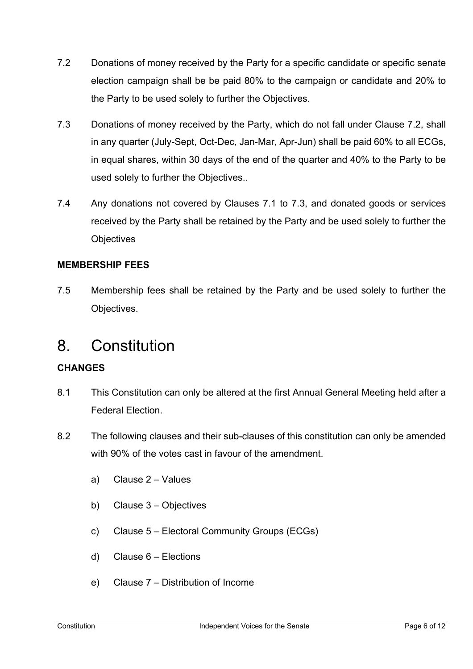- 7.2 Donations of money received by the Party for a specific candidate or specific senate election campaign shall be be paid 80% to the campaign or candidate and 20% to the Party to be used solely to further the Objectives.
- 7.3 Donations of money received by the Party, which do not fall under Clause 7.2, shall in any quarter (July-Sept, Oct-Dec, Jan-Mar, Apr-Jun) shall be paid 60% to all ECGs, in equal shares, within 30 days of the end of the quarter and 40% to the Party to be used solely to further the Objectives..
- 7.4 Any donations not covered by Clauses 7.1 to 7.3, and donated goods or services received by the Party shall be retained by the Party and be used solely to further the **Objectives**

#### **MEMBERSHIP FEES**

7.5 Membership fees shall be retained by the Party and be used solely to further the Objectives.

### 8. Constitution

#### **CHANGES**

- 8.1 This Constitution can only be altered at the first Annual General Meeting held after a Federal Election.
- 8.2 The following clauses and their sub-clauses of this constitution can only be amended with 90% of the votes cast in favour of the amendment.
	- a) Clause 2 Values
	- b) Clause 3 Objectives
	- c) Clause 5 Electoral Community Groups (ECGs)
	- d) Clause 6 Elections
	- e) Clause 7 Distribution of Income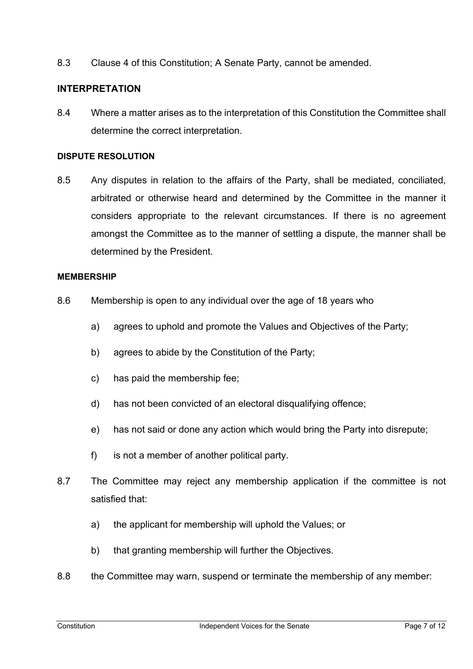8.3 Clause 4 of this Constitution; A Senate Party, cannot be amended.

#### **INTERPRETATION**

8.4 Where a matter arises as to the interpretation of this Constitution the Committee shall determine the correct interpretation.

#### **DISPUTE RESOLUTION**

8.5 Any disputes in relation to the affairs of the Party, shall be mediated, conciliated, arbitrated or otherwise heard and determined by the Committee in the manner it considers appropriate to the relevant circumstances. If there is no agreement amongst the Committee as to the manner of settling a dispute, the manner shall be determined by the President.

#### **MEMBERSHIP**

- 8.6 Membership is open to any individual over the age of 18 years who
	- a) agrees to uphold and promote the Values and Objectives of the Party;
	- b) agrees to abide by the Constitution of the Party;
	- c) has paid the membership fee;
	- d) has not been convicted of an electoral disqualifying offence;
	- e) has not said or done any action which would bring the Party into disrepute;
	- f) is not a member of another political party.
- 8.7 The Committee may reject any membership application if the committee is not satisfied that:
	- a) the applicant for membership will uphold the Values; or
	- b) that granting membership will further the Objectives.
- 8.8 the Committee may warn, suspend or terminate the membership of any member: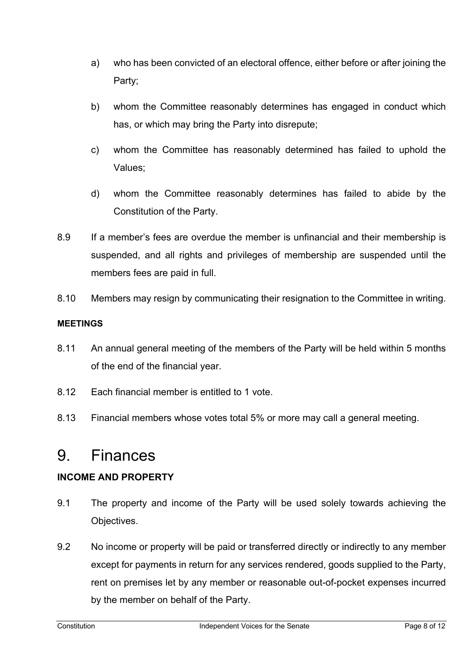- a) who has been convicted of an electoral offence, either before or after joining the Party;
- b) whom the Committee reasonably determines has engaged in conduct which has, or which may bring the Party into disrepute;
- c) whom the Committee has reasonably determined has failed to uphold the Values;
- d) whom the Committee reasonably determines has failed to abide by the Constitution of the Party.
- 8.9 If a member's fees are overdue the member is unfinancial and their membership is suspended, and all rights and privileges of membership are suspended until the members fees are paid in full.
- 8.10 Members may resign by communicating their resignation to the Committee in writing.

#### **MEETINGS**

- 8.11 An annual general meeting of the members of the Party will be held within 5 months of the end of the financial year.
- 8.12 Each financial member is entitled to 1 vote.
- 8.13 Financial members whose votes total 5% or more may call a general meeting.

## 9. Finances

#### **INCOME AND PROPERTY**

- 9.1 The property and income of the Party will be used solely towards achieving the Objectives.
- 9.2 No income or property will be paid or transferred directly or indirectly to any member except for payments in return for any services rendered, goods supplied to the Party, rent on premises let by any member or reasonable out-of-pocket expenses incurred by the member on behalf of the Party.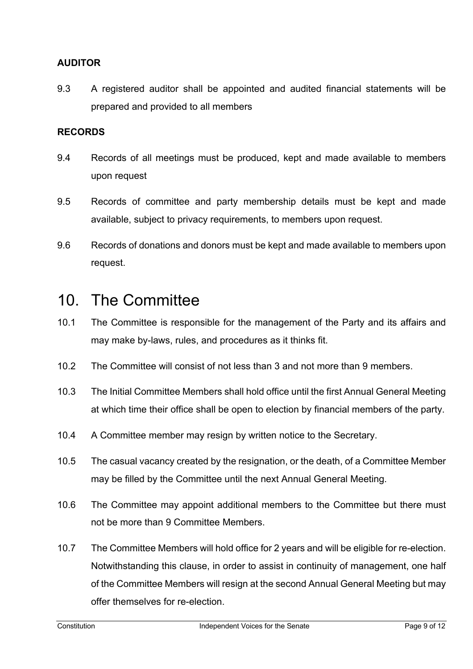#### **AUDITOR**

9.3 A registered auditor shall be appointed and audited financial statements will be prepared and provided to all members

#### **RECORDS**

- 9.4 Records of all meetings must be produced, kept and made available to members upon request
- 9.5 Records of committee and party membership details must be kept and made available, subject to privacy requirements, to members upon request.
- 9.6 Records of donations and donors must be kept and made available to members upon request.

### 10. The Committee

- 10.1 The Committee is responsible for the management of the Party and its affairs and may make by-laws, rules, and procedures as it thinks fit.
- 10.2 The Committee will consist of not less than 3 and not more than 9 members.
- 10.3 The Initial Committee Members shall hold office until the first Annual General Meeting at which time their office shall be open to election by financial members of the party.
- 10.4 A Committee member may resign by written notice to the Secretary.
- 10.5 The casual vacancy created by the resignation, or the death, of a Committee Member may be filled by the Committee until the next Annual General Meeting.
- 10.6 The Committee may appoint additional members to the Committee but there must not be more than 9 Committee Members.
- 10.7 The Committee Members will hold office for 2 years and will be eligible for re-election. Notwithstanding this clause, in order to assist in continuity of management, one half of the Committee Members will resign at the second Annual General Meeting but may offer themselves for re-election.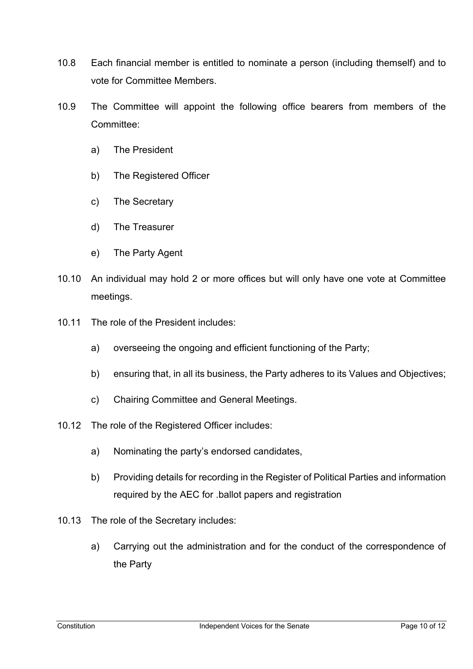- 10.8 Each financial member is entitled to nominate a person (including themself) and to vote for Committee Members.
- 10.9 The Committee will appoint the following office bearers from members of the Committee:
	- a) The President
	- b) The Registered Officer
	- c) The Secretary
	- d) The Treasurer
	- e) The Party Agent
- 10.10 An individual may hold 2 or more offices but will only have one vote at Committee meetings.
- 10.11 The role of the President includes:
	- a) overseeing the ongoing and efficient functioning of the Party;
	- b) ensuring that, in all its business, the Party adheres to its Values and Objectives;
	- c) Chairing Committee and General Meetings.
- 10.12 The role of the Registered Officer includes:
	- a) Nominating the party's endorsed candidates,
	- b) Providing details for recording in the Register of Political Parties and information required by the AEC for .ballot papers and registration
- 10.13 The role of the Secretary includes:
	- a) Carrying out the administration and for the conduct of the correspondence of the Party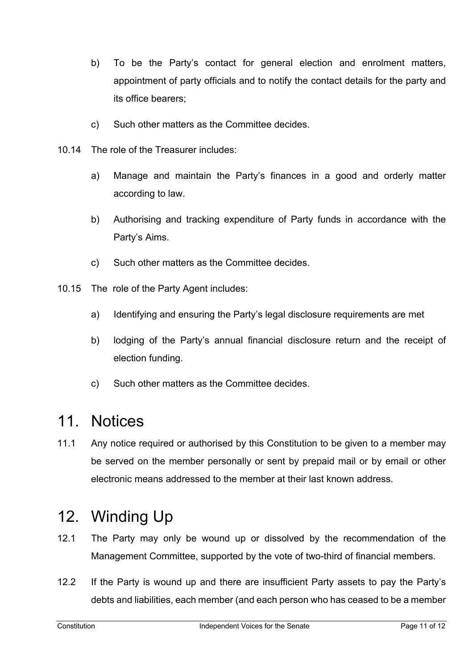- b) To be the Party's contact for general election and enrolment matters, appointment of party officials and to notify the contact details for the party and its office bearers;
- c) Such other matters as the Committee decides.
- 10.14 The role of the Treasurer includes:
	- a) Manage and maintain the Party's finances in a good and orderly matter according to law.
	- b) Authorising and tracking expenditure of Party funds in accordance with the Party's Aims.
	- c) Such other matters as the Committee decides.
- 10.15 The role of the Party Agent includes:
	- a) Identifying and ensuring the Party's legal disclosure requirements are met
	- b) lodging of the Party's annual financial disclosure return and the receipt of election funding.
	- c) Such other matters as the Committee decides.

## 11 Notices

11.1 Any notice required or authorised by this Constitution to be given to a member may be served on the member personally or sent by prepaid mail or by email or other electronic means addressed to the member at their last known address.

# 12. Winding Up

- 12.1 The Party may only be wound up or dissolved by the recommendation of the Management Committee, supported by the vote of two-third of financial members.
- 12.2 If the Party is wound up and there are insufficient Party assets to pay the Party's debts and liabilities, each member (and each person who has ceased to be a member